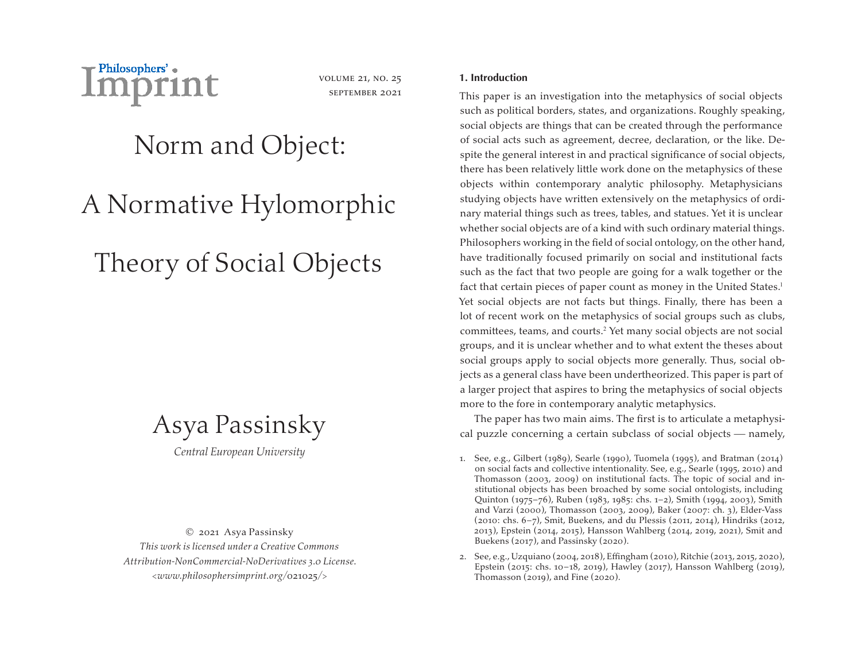

volume 21, no. 25 september 2021

# Norm and Object:

# A Normative Hylomorphic

# Theory of Social Objects

# Asya Passinsky

*Central European University*

© 2021 Asya Passinsky *This work is licensed under a Creative Commons Attribution-NonCommercial-NoDerivatives 3.0 License. <www.philosophersimprint.org/*021025*/>*

# **1. Introduction**

This paper is an investigation into the metaphysics of social objects such as political borders, states, and organizations. Roughly speaking, social objects are things that can be created through the performance of social acts such as agreement, decree, declaration, or the like. Despite the general interest in and practical significance of social objects, there has been relatively little work done on the metaphysics of these objects within contemporary analytic philosophy. Metaphysicians studying objects have written extensively on the metaphysics of ordinary material things such as trees, tables, and statues. Yet it is unclear whether social objects are of a kind with such ordinary material things. Philosophers working in the field of social ontology, on the other hand, have traditionally focused primarily on social and institutional facts such as the fact that two people are going for a walk together or the fact that certain pieces of paper count as money in the United States.<sup>1</sup> Yet social objects are not facts but things. Finally, there has been a lot of recent work on the metaphysics of social groups such as clubs, committees, teams, and courts.<sup>2</sup> Yet many social objects are not social groups, and it is unclear whether and to what extent the theses about social groups apply to social objects more generally. Thus, social objects as a general class have been undertheorized. This paper is part of a larger project that aspires to bring the metaphysics of social objects more to the fore in contemporary analytic metaphysics.

The paper has two main aims. The first is to articulate a metaphysical puzzle concerning a certain subclass of social objects  $-$  namely,

<sup>1.</sup> See, e.g., Gilbert (1989), Searle (1990), Tuomela (1995), and Bratman (2014) on social facts and collective intentionality. See, e.g., Searle (1995, 2010) and Thomasson (2003, 2009) on institutional facts. The topic of social and institutional objects has been broached by some social ontologists, including Quinton (1975–76), Ruben (1983, 1985: chs. 1–2), Smith (1994, 2003), Smith and Varzi (2000), Thomasson (2003, 2009), Baker (2007: ch. 3), Elder-Vass (2010: chs. 6–7), Smit, Buekens, and du Plessis (2011, 2014), Hindriks (2012, 2013), Epstein (2014, 2015), Hansson Wahlberg (2014, 2019, 2021), Smit and Buekens (2017), and Passinsky (2020).

<sup>2.</sup> See, e.g., Uzquiano (2004, 2018), Effingham (2010), Ritchie (2013, 2015, 2020), Epstein (2015: chs. 10–18, 2019), Hawley (2017), Hansson Wahlberg (2019), Thomasson (2019), and Fine (2020).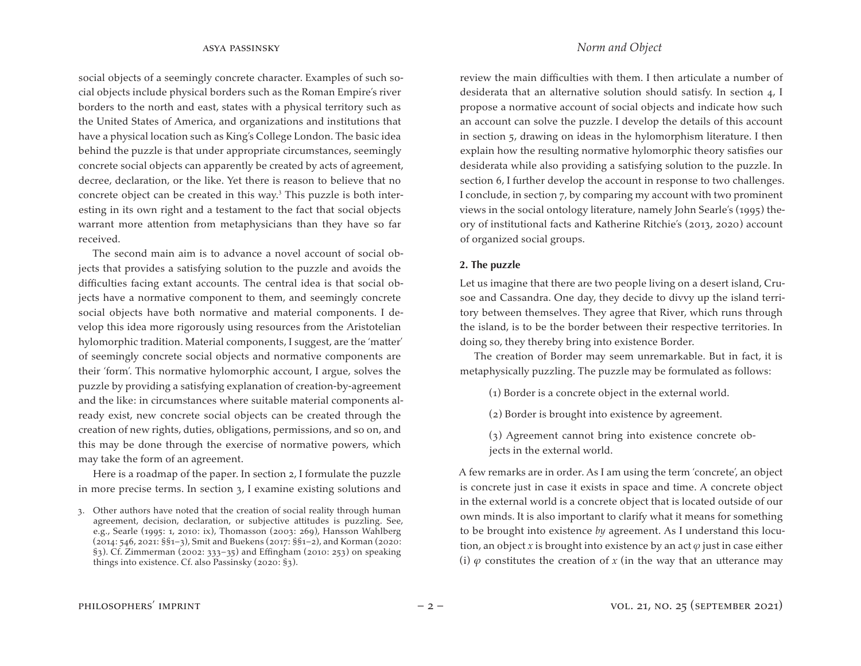social objects of a seemingly concrete character. Examples of such social objects include physical borders such as the Roman Empire's river borders to the north and east, states with a physical territory such as the United States of America, and organizations and institutions that have a physical location such as King's College London. The basic idea behind the puzzle is that under appropriate circumstances, seemingly concrete social objects can apparently be created by acts of agreement, decree, declaration, or the like. Yet there is reason to believe that no concrete object can be created in this way.<sup>3</sup> This puzzle is both interesting in its own right and a testament to the fact that social objects warrant more attention from metaphysicians than they have so far received.

The second main aim is to advance a novel account of social objects that provides a satisfying solution to the puzzle and avoids the difficulties facing extant accounts. The central idea is that social objects have a normative component to them, and seemingly concrete social objects have both normative and material components. I develop this idea more rigorously using resources from the Aristotelian hylomorphic tradition. Material components, I suggest, are the 'matter' of seemingly concrete social objects and normative components are their 'form'. This normative hylomorphic account, I argue, solves the puzzle by providing a satisfying explanation of creation-by-agreement and the like: in circumstances where suitable material components already exist, new concrete social objects can be created through the creation of new rights, duties, obligations, permissions, and so on, and this may be done through the exercise of normative powers, which may take the form of an agreement.

Here is a roadmap of the paper. In section 2, I formulate the puzzle in more precise terms. In section 3, I examine existing solutions and review the main difficulties with them. I then articulate a number of desiderata that an alternative solution should satisfy. In section 4, I propose a normative account of social objects and indicate how such an account can solve the puzzle. I develop the details of this account in section 5, drawing on ideas in the hylomorphism literature. I then explain how the resulting normative hylomorphic theory satisfies our desiderata while also providing a satisfying solution to the puzzle. In section 6, I further develop the account in response to two challenges. I conclude, in section 7, by comparing my account with two prominent views in the social ontology literature, namely John Searle's (1995) theory of institutional facts and Katherine Ritchie's (2013, 2020) account of organized social groups.

### **2. The puzzle**

Let us imagine that there are two people living on a desert island, Crusoe and Cassandra. One day, they decide to divvy up the island territory between themselves. They agree that River, which runs through the island, is to be the border between their respective territories. In doing so, they thereby bring into existence Border.

The creation of Border may seem unremarkable. But in fact, it is metaphysically puzzling. The puzzle may be formulated as follows:

(1) Border is a concrete object in the external world.

(2) Border is brought into existence by agreement.

(3) Agreement cannot bring into existence concrete objects in the external world.

A few remarks are in order. As I am using the term 'concrete', an object is concrete just in case it exists in space and time. A concrete object in the external world is a concrete object that is located outside of our own minds. It is also important to clarify what it means for something to be brought into existence *by* agreement. As I understand this locution, an object *x* is brought into existence by an act  $\varphi$  just in case either (i)  $\varphi$  constitutes the creation of *x* (in the way that an utterance may

<sup>3.</sup> Other authors have noted that the creation of social reality through human agreement, decision, declaration, or subjective attitudes is puzzling. See, e.g., Searle (1995: 1, 2010: ix), Thomasson (2003: 269), Hansson Wahlberg (2014: 546, 2021: §§1–3), Smit and Buekens (2017: §§1–2), and Korman (2020: §3). Cf. Zimmerman (2002: 333–35) and Effingham (2010: 253) on speaking things into existence. Cf. also Passinsky (2020: §3).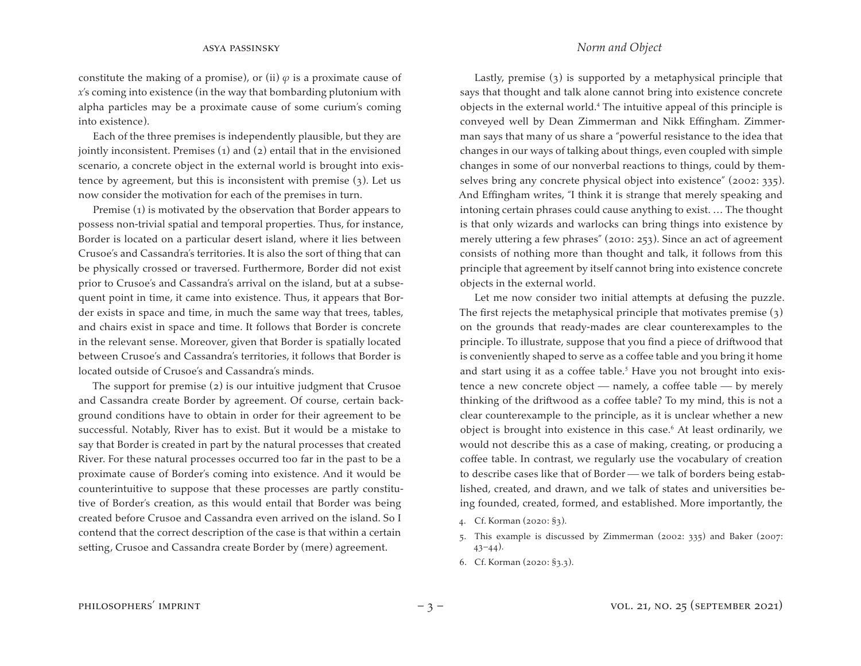constitute the making of a promise), or (ii)  $\varphi$  is a proximate cause of *x*'s coming into existence (in the way that bombarding plutonium with alpha particles may be a proximate cause of some curium's coming into existence).

Each of the three premises is independently plausible, but they are jointly inconsistent. Premises (1) and (2) entail that in the envisioned scenario, a concrete object in the external world is brought into existence by agreement, but this is inconsistent with premise (3). Let us now consider the motivation for each of the premises in turn.

Premise (1) is motivated by the observation that Border appears to possess non-trivial spatial and temporal properties. Thus, for instance, Border is located on a particular desert island, where it lies between Crusoe's and Cassandra's territories. It is also the sort of thing that can be physically crossed or traversed. Furthermore, Border did not exist prior to Crusoe's and Cassandra's arrival on the island, but at a subsequent point in time, it came into existence. Thus, it appears that Border exists in space and time, in much the same way that trees, tables, and chairs exist in space and time. It follows that Border is concrete in the relevant sense. Moreover, given that Border is spatially located between Crusoe's and Cassandra's territories, it follows that Border is located outside of Crusoe's and Cassandra's minds.

The support for premise (2) is our intuitive judgment that Crusoe and Cassandra create Border by agreement. Of course, certain background conditions have to obtain in order for their agreement to be successful. Notably, River has to exist. But it would be a mistake to say that Border is created in part by the natural processes that created River. For these natural processes occurred too far in the past to be a proximate cause of Border's coming into existence. And it would be counterintuitive to suppose that these processes are partly constitutive of Border's creation, as this would entail that Border was being created before Crusoe and Cassandra even arrived on the island. So I contend that the correct description of the case is that within a certain setting, Crusoe and Cassandra create Border by (mere) agreement.

Lastly, premise (3) is supported by a metaphysical principle that says that thought and talk alone cannot bring into existence concrete objects in the external world.<sup>4</sup> The intuitive appeal of this principle is conveyed well by Dean Zimmerman and Nikk Effingham. Zimmerman says that many of us share a "powerful resistance to the idea that changes in our ways of talking about things, even coupled with simple changes in some of our nonverbal reactions to things, could by themselves bring any concrete physical object into existence" (2002: 335). And Effingham writes, "I think it is strange that merely speaking and intoning certain phrases could cause anything to exist. … The thought is that only wizards and warlocks can bring things into existence by merely uttering a few phrases" (2010: 253). Since an act of agreement consists of nothing more than thought and talk, it follows from this principle that agreement by itself cannot bring into existence concrete objects in the external world.

Let me now consider two initial attempts at defusing the puzzle. The first rejects the metaphysical principle that motivates premise  $(3)$ on the grounds that ready-mades are clear counterexamples to the principle. To illustrate, suppose that you find a piece of driftwood that is conveniently shaped to serve as a coffee table and you bring it home and start using it as a coffee table.<sup>5</sup> Have you not brought into existence a new concrete object  $-$  namely, a coffee table  $-$  by merely thinking of the driftwood as a coffee table? To my mind, this is not a clear counterexample to the principle, as it is unclear whether a new object is brought into existence in this case.<sup>6</sup> At least ordinarily, we would not describe this as a case of making, creating, or producing a coffee table. In contrast, we regularly use the vocabulary of creation to describe cases like that of Border — we talk of borders being established, created, and drawn, and we talk of states and universities being founded, created, formed, and established. More importantly, the

- 4. Cf. Korman (2020: §3).
- 5. This example is discussed by Zimmerman (2002: 335) and Baker (2007:  $43-44$ ).
- 6. Cf. Korman (2020: §3.3).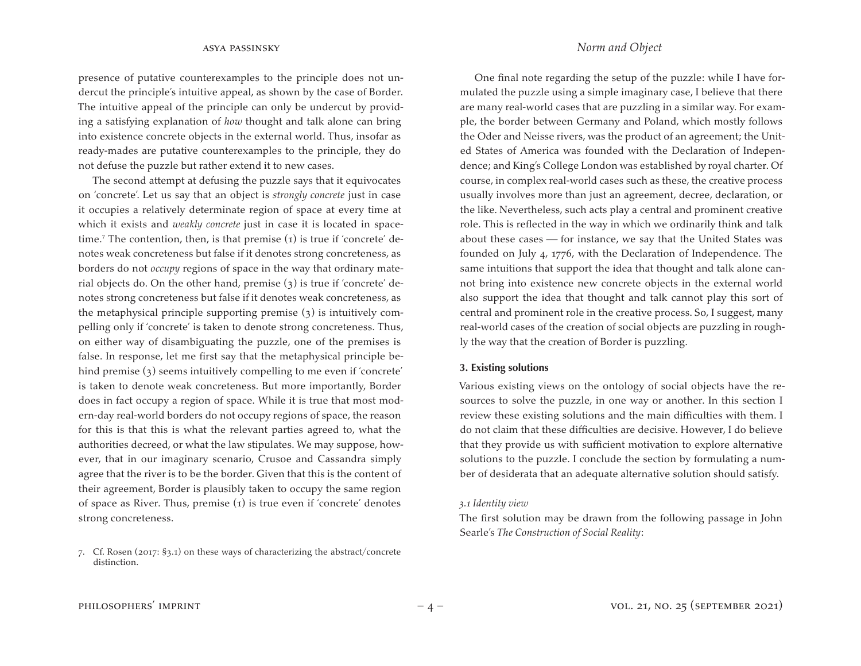presence of putative counterexamples to the principle does not undercut the principle's intuitive appeal, as shown by the case of Border. The intuitive appeal of the principle can only be undercut by providing a satisfying explanation of *how* thought and talk alone can bring into existence concrete objects in the external world. Thus, insofar as ready-mades are putative counterexamples to the principle, they do not defuse the puzzle but rather extend it to new cases.

The second attempt at defusing the puzzle says that it equivocates on 'concrete'. Let us say that an object is *strongly concrete* just in case it occupies a relatively determinate region of space at every time at which it exists and *weakly concrete* just in case it is located in spacetime.<sup>7</sup> The contention, then, is that premise  $(1)$  is true if 'concrete' denotes weak concreteness but false if it denotes strong concreteness, as borders do not *occupy* regions of space in the way that ordinary material objects do. On the other hand, premise (3) is true if 'concrete' denotes strong concreteness but false if it denotes weak concreteness, as the metaphysical principle supporting premise (3) is intuitively compelling only if 'concrete' is taken to denote strong concreteness. Thus, on either way of disambiguating the puzzle, one of the premises is false. In response, let me first say that the metaphysical principle behind premise (3) seems intuitively compelling to me even if 'concrete' is taken to denote weak concreteness. But more importantly, Border does in fact occupy a region of space. While it is true that most modern-day real-world borders do not occupy regions of space, the reason for this is that this is what the relevant parties agreed to, what the authorities decreed, or what the law stipulates. We may suppose, however, that in our imaginary scenario, Crusoe and Cassandra simply agree that the river is to be the border. Given that this is the content of their agreement, Border is plausibly taken to occupy the same region of space as River. Thus, premise (1) is true even if 'concrete' denotes strong concreteness.

## asya passinsky *Norm and Object*

One final note regarding the setup of the puzzle: while I have formulated the puzzle using a simple imaginary case, I believe that there are many real-world cases that are puzzling in a similar way. For example, the border between Germany and Poland, which mostly follows the Oder and Neisse rivers, was the product of an agreement; the United States of America was founded with the Declaration of Independence; and King's College London was established by royal charter. Of course, in complex real-world cases such as these, the creative process usually involves more than just an agreement, decree, declaration, or the like. Nevertheless, such acts play a central and prominent creative role. This is reflected in the way in which we ordinarily think and talk about these cases  $f$  for instance, we say that the United States was founded on July 4, 1776, with the Declaration of Independence. The same intuitions that support the idea that thought and talk alone cannot bring into existence new concrete objects in the external world also support the idea that thought and talk cannot play this sort of central and prominent role in the creative process. So, I suggest, many real-world cases of the creation of social objects are puzzling in roughly the way that the creation of Border is puzzling.

### **3. Existing solutions**

Various existing views on the ontology of social objects have the resources to solve the puzzle, in one way or another. In this section I review these existing solutions and the main difficulties with them. I do not claim that these difficulties are decisive. However, I do believe that they provide us with sufficient motivation to explore alternative solutions to the puzzle. I conclude the section by formulating a number of desiderata that an adequate alternative solution should satisfy.

#### *3.1 Identity view*

The first solution may be drawn from the following passage in John Searle's *The Construction of Social Reality*:

<sup>7.</sup> Cf. Rosen (2017: §3.1) on these ways of characterizing the abstract/concrete distinction.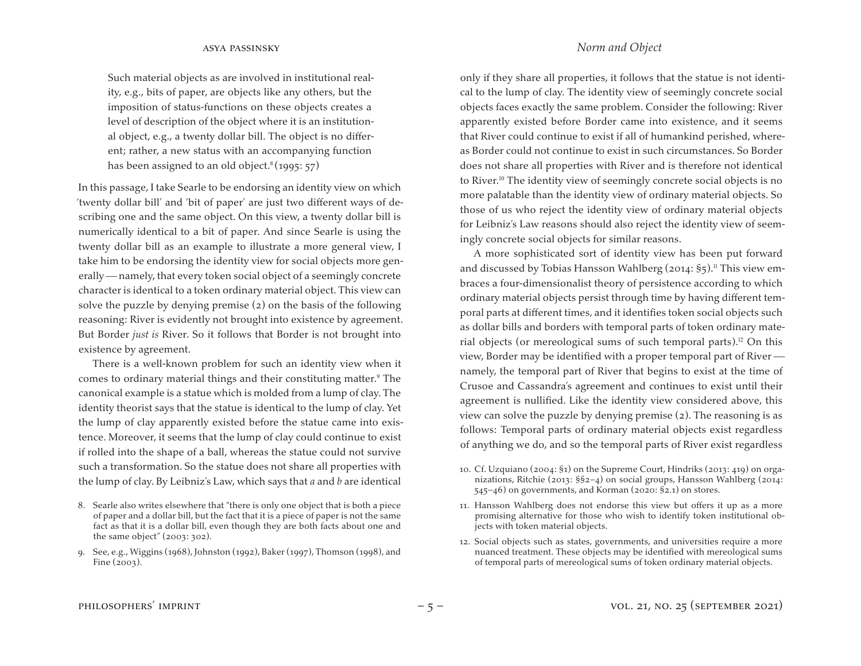Such material objects as are involved in institutional reality, e.g., bits of paper, are objects like any others, but the imposition of status-functions on these objects creates a level of description of the object where it is an institutional object, e.g., a twenty dollar bill. The object is no different; rather, a new status with an accompanying function has been assigned to an old object.<sup>8</sup> (1995: 57)

In this passage, I take Searle to be endorsing an identity view on which 'twenty dollar bill' and 'bit of paper' are just two different ways of describing one and the same object. On this view, a twenty dollar bill is numerically identical to a bit of paper. And since Searle is using the twenty dollar bill as an example to illustrate a more general view, I take him to be endorsing the identity view for social objects more generally — namely, that every token social object of a seemingly concrete character is identical to a token ordinary material object. This view can solve the puzzle by denying premise (2) on the basis of the following reasoning: River is evidently not brought into existence by agreement. But Border *just is* River. So it follows that Border is not brought into existence by agreement.

There is a well-known problem for such an identity view when it comes to ordinary material things and their constituting matter.<sup>9</sup> The canonical example is a statue which is molded from a lump of clay. The identity theorist says that the statue is identical to the lump of clay. Yet the lump of clay apparently existed before the statue came into existence. Moreover, it seems that the lump of clay could continue to exist if rolled into the shape of a ball, whereas the statue could not survive such a transformation. So the statue does not share all properties with the lump of clay. By Leibniz's Law, which says that *a* and *b* are identical

only if they share all properties, it follows that the statue is not identical to the lump of clay. The identity view of seemingly concrete social objects faces exactly the same problem. Consider the following: River apparently existed before Border came into existence, and it seems that River could continue to exist if all of humankind perished, whereas Border could not continue to exist in such circumstances. So Border does not share all properties with River and is therefore not identical to River.<sup>10</sup> The identity view of seemingly concrete social objects is no more palatable than the identity view of ordinary material objects. So those of us who reject the identity view of ordinary material objects

for Leibniz's Law reasons should also reject the identity view of seem-

ingly concrete social objects for similar reasons.

A more sophisticated sort of identity view has been put forward and discussed by Tobias Hansson Wahlberg (2014:  $\S$ 5).<sup>11</sup> This view embraces a four-dimensionalist theory of persistence according to which ordinary material objects persist through time by having different temporal parts at different times, and it identifies token social objects such as dollar bills and borders with temporal parts of token ordinary material objects (or mereological sums of such temporal parts).<sup>12</sup> On this view, Border may be identified with a proper temporal part of River namely, the temporal part of River that begins to exist at the time of Crusoe and Cassandra's agreement and continues to exist until their agreement is nullified. Like the identity view considered above, this view can solve the puzzle by denying premise (2). The reasoning is as follows: Temporal parts of ordinary material objects exist regardless of anything we do, and so the temporal parts of River exist regardless

- 10. Cf. Uzquiano (2004:  $\S$ 1) on the Supreme Court, Hindriks (2013: 419) on organizations, Ritchie (2013: §§2–4) on social groups, Hansson Wahlberg (2014: 545–46) on governments, and Korman (2020: §2.1) on stores.
- 11. Hansson Wahlberg does not endorse this view but offers it up as a more promising alternative for those who wish to identify token institutional objects with token material objects.
- 12. Social objects such as states, governments, and universities require a more nuanced treatment. These objects may be identified with mereological sums of temporal parts of mereological sums of token ordinary material objects.

## asya passinsky *Norm and Object*

<sup>8.</sup> Searle also writes elsewhere that "there is only one object that is both a piece of paper and a dollar bill, but the fact that it is a piece of paper is not the same fact as that it is a dollar bill, even though they are both facts about one and the same object" (2003: 302).

<sup>9.</sup> See, e.g., Wiggins (1968), Johnston (1992), Baker (1997), Thomson (1998), and Fine (2003).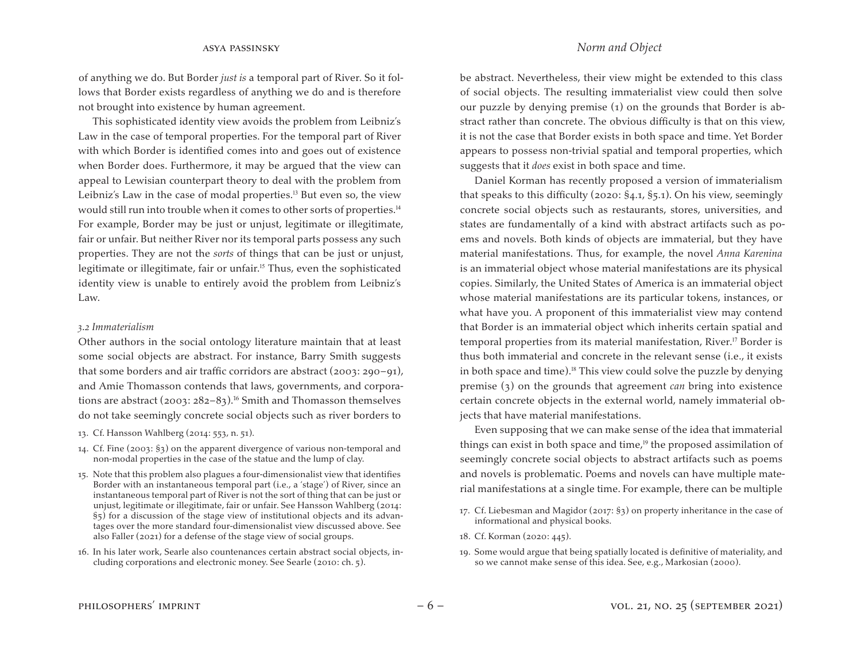of anything we do. But Border *just is* a temporal part of River. So it follows that Border exists regardless of anything we do and is therefore not brought into existence by human agreement.

This sophisticated identity view avoids the problem from Leibniz's Law in the case of temporal properties. For the temporal part of River with which Border is identified comes into and goes out of existence when Border does. Furthermore, it may be argued that the view can appeal to Lewisian counterpart theory to deal with the problem from Leibniz's Law in the case of modal properties.<sup>13</sup> But even so, the view would still run into trouble when it comes to other sorts of properties.<sup>14</sup> For example, Border may be just or unjust, legitimate or illegitimate, fair or unfair. But neither River nor its temporal parts possess any such properties. They are not the *sorts* of things that can be just or unjust, legitimate or illegitimate, fair or unfair.<sup>15</sup> Thus, even the sophisticated identity view is unable to entirely avoid the problem from Leibniz's Law.

#### *3.2 Immaterialism*

Other authors in the social ontology literature maintain that at least some social objects are abstract. For instance, Barry Smith suggests that some borders and air traffic corridors are abstract (2003: 290–91), and Amie Thomasson contends that laws, governments, and corporations are abstract (2003:  $282-83$ ).<sup>16</sup> Smith and Thomasson themselves do not take seemingly concrete social objects such as river borders to

- 13. Cf. Hansson Wahlberg (2014: 553, n. 51).
- 14. Cf. Fine (2003: §3) on the apparent divergence of various non-temporal and non-modal properties in the case of the statue and the lump of clay.
- 15. Note that this problem also plagues a four-dimensionalist view that identifies Border with an instantaneous temporal part (i.e., a 'stage') of River, since an instantaneous temporal part of River is not the sort of thing that can be just or unjust, legitimate or illegitimate, fair or unfair. See Hansson Wahlberg (2014: §5) for a discussion of the stage view of institutional objects and its advantages over the more standard four-dimensionalist view discussed above. See also Faller (2021) for a defense of the stage view of social groups.
- 16. In his later work, Searle also countenances certain abstract social objects, including corporations and electronic money. See Searle (2010: ch. 5).

be abstract. Nevertheless, their view might be extended to this class of social objects. The resulting immaterialist view could then solve our puzzle by denying premise (1) on the grounds that Border is abstract rather than concrete. The obvious difficulty is that on this view, it is not the case that Border exists in both space and time. Yet Border appears to possess non-trivial spatial and temporal properties, which suggests that it *does* exist in both space and time.

Daniel Korman has recently proposed a version of immaterialism that speaks to this difficulty (2020: §4.1, §5.1). On his view, seemingly concrete social objects such as restaurants, stores, universities, and states are fundamentally of a kind with abstract artifacts such as poems and novels. Both kinds of objects are immaterial, but they have material manifestations. Thus, for example, the novel *Anna Karenina* is an immaterial object whose material manifestations are its physical copies. Similarly, the United States of America is an immaterial object whose material manifestations are its particular tokens, instances, or what have you. A proponent of this immaterialist view may contend that Border is an immaterial object which inherits certain spatial and temporal properties from its material manifestation, River.<sup>17</sup> Border is thus both immaterial and concrete in the relevant sense (i.e., it exists in both space and time).<sup>18</sup> This view could solve the puzzle by denying premise (3) on the grounds that agreement *can* bring into existence certain concrete objects in the external world, namely immaterial objects that have material manifestations.

Even supposing that we can make sense of the idea that immaterial things can exist in both space and time, $19$  the proposed assimilation of seemingly concrete social objects to abstract artifacts such as poems and novels is problematic. Poems and novels can have multiple material manifestations at a single time. For example, there can be multiple

- 17. Cf. Liebesman and Magidor (2017:  $\S$ 3) on property inheritance in the case of informational and physical books.
- 18. Cf. Korman (2020: 445).
- 19. Some would argue that being spatially located is definitive of materiality, and so we cannot make sense of this idea. See, e.g., Markosian (2000).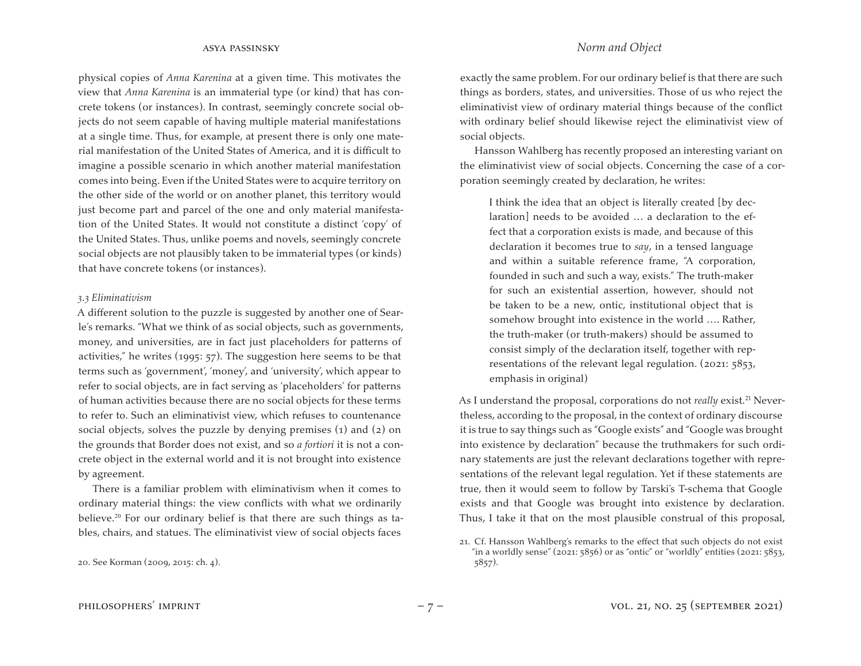physical copies of *Anna Karenina* at a given time. This motivates the view that *Anna Karenina* is an immaterial type (or kind) that has concrete tokens (or instances). In contrast, seemingly concrete social objects do not seem capable of having multiple material manifestations at a single time. Thus, for example, at present there is only one material manifestation of the United States of America, and it is difficult to imagine a possible scenario in which another material manifestation comes into being. Even if the United States were to acquire territory on the other side of the world or on another planet, this territory would just become part and parcel of the one and only material manifestation of the United States. It would not constitute a distinct 'copy' of the United States. Thus, unlike poems and novels, seemingly concrete social objects are not plausibly taken to be immaterial types (or kinds) that have concrete tokens (or instances).

#### *3.3 Eliminativism*

A different solution to the puzzle is suggested by another one of Searle's remarks. "What we think of as social objects, such as governments, money, and universities, are in fact just placeholders for patterns of activities," he writes (1995: 57). The suggestion here seems to be that terms such as 'government', 'money', and 'university', which appear to refer to social objects, are in fact serving as 'placeholders' for patterns of human activities because there are no social objects for these terms to refer to. Such an eliminativist view, which refuses to countenance social objects, solves the puzzle by denying premises (1) and (2) on the grounds that Border does not exist, and so *a fortiori* it is not a concrete object in the external world and it is not brought into existence by agreement.

There is a familiar problem with eliminativism when it comes to ordinary material things: the view conflicts with what we ordinarily believe.<sup>20</sup> For our ordinary belief is that there are such things as tables, chairs, and statues. The eliminativist view of social objects faces

exactly the same problem. For our ordinary belief is that there are such things as borders, states, and universities. Those of us who reject the eliminativist view of ordinary material things because of the conflict with ordinary belief should likewise reject the eliminativist view of social objects.

Hansson Wahlberg has recently proposed an interesting variant on the eliminativist view of social objects. Concerning the case of a corporation seemingly created by declaration, he writes:

I think the idea that an object is literally created [by declaration] needs to be avoided … a declaration to the effect that a corporation exists is made, and because of this declaration it becomes true to *say*, in a tensed language and within a suitable reference frame, "A corporation, founded in such and such a way, exists." The truth-maker for such an existential assertion, however, should not be taken to be a new, ontic, institutional object that is somehow brought into existence in the world …. Rather, the truth-maker (or truth-makers) should be assumed to consist simply of the declaration itself, together with representations of the relevant legal regulation. (2021: 5853, emphasis in original)

As I understand the proposal, corporations do not *really* exist.<sup>21</sup> Nevertheless, according to the proposal, in the context of ordinary discourse it is true to say things such as "Google exists" and "Google was brought into existence by declaration" because the truthmakers for such ordinary statements are just the relevant declarations together with representations of the relevant legal regulation. Yet if these statements are true, then it would seem to follow by Tarski's T-schema that Google exists and that Google was brought into existence by declaration. Thus, I take it that on the most plausible construal of this proposal,

<sup>20.</sup> See Korman (2009, 2015: ch. 4).

<sup>21.</sup> Cf. Hansson Wahlberg's remarks to the effect that such objects do not exist "in a worldly sense" (2021: 5856) or as "ontic" or "worldly" entities (2021: 5853, 5857).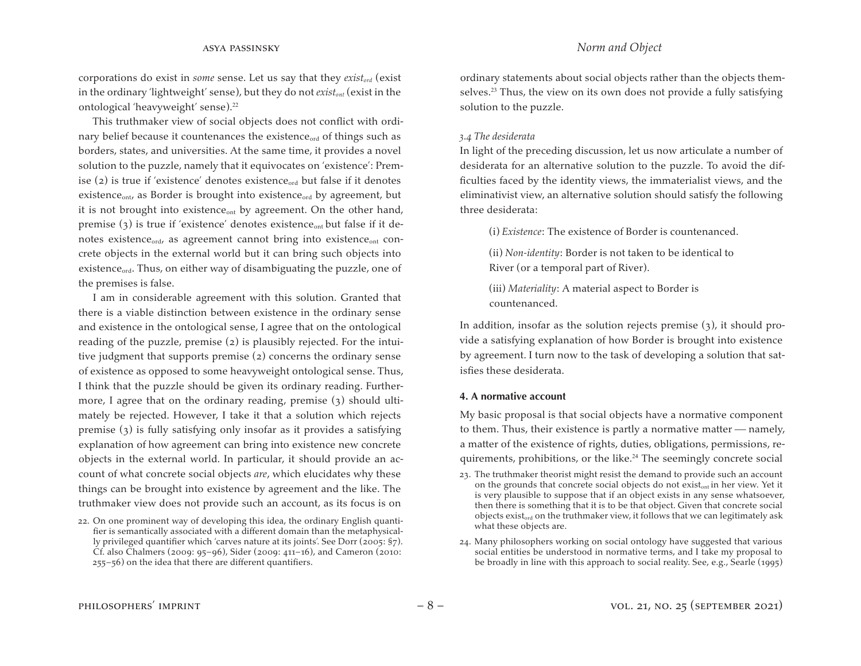corporations do exist in *some* sense. Let us say that they *existord* (exist in the ordinary 'lightweight' sense), but they do not *existont* (exist in the ontological 'heavyweight' sense).<sup>22</sup>

This truthmaker view of social objects does not conflict with ordinary belief because it countenances the existence<sub>ord</sub> of things such as borders, states, and universities. At the same time, it provides a novel solution to the puzzle, namely that it equivocates on 'existence': Premise  $(2)$  is true if 'existence' denotes existence<sub>ord</sub> but false if it denotes existence<sub>ont</sub>, as Border is brought into existence<sub>ord</sub> by agreement, but it is not brought into existence<sub>ont</sub> by agreement. On the other hand, premise  $(3)$  is true if 'existence' denotes existence<sub>ont</sub> but false if it denotes existence $_{\text{ord}}$ , as agreement cannot bring into existence $_{\text{ont}}$  concrete objects in the external world but it can bring such objects into existence<sub>ord</sub>. Thus, on either way of disambiguating the puzzle, one of the premises is false.

I am in considerable agreement with this solution. Granted that there is a viable distinction between existence in the ordinary sense and existence in the ontological sense, I agree that on the ontological reading of the puzzle, premise (2) is plausibly rejected. For the intuitive judgment that supports premise (2) concerns the ordinary sense of existence as opposed to some heavyweight ontological sense. Thus, I think that the puzzle should be given its ordinary reading. Furthermore, I agree that on the ordinary reading, premise (3) should ultimately be rejected. However, I take it that a solution which rejects premise (3) is fully satisfying only insofar as it provides a satisfying explanation of how agreement can bring into existence new concrete objects in the external world. In particular, it should provide an account of what concrete social objects *are*, which elucidates why these things can be brought into existence by agreement and the like. The truthmaker view does not provide such an account, as its focus is on

ordinary statements about social objects rather than the objects themselves.<sup>23</sup> Thus, the view on its own does not provide a fully satisfying solution to the puzzle.

## *3.4 The desiderata*

In light of the preceding discussion, let us now articulate a number of desiderata for an alternative solution to the puzzle. To avoid the difficulties faced by the identity views, the immaterialist views, and the eliminativist view, an alternative solution should satisfy the following three desiderata:

(i) *Existence*: The existence of Border is countenanced.

(ii) *Non-identity*: Border is not taken to be identical to River (or a temporal part of River).

(iii) *Materiality*: A material aspect to Border is countenanced.

In addition, insofar as the solution rejects premise  $(3)$ , it should provide a satisfying explanation of how Border is brought into existence by agreement. I turn now to the task of developing a solution that satisfies these desiderata.

## **4. A normative account**

My basic proposal is that social objects have a normative component to them. Thus, their existence is partly a normative matter — namely, a matter of the existence of rights, duties, obligations, permissions, requirements, prohibitions, or the like.<sup>24</sup> The seemingly concrete social

- 23. The truthmaker theorist might resist the demand to provide such an account on the grounds that concrete social objects do not existont in her view. Yet it is very plausible to suppose that if an object exists in any sense whatsoever, then there is something that it is to be that object. Given that concrete social objects existord on the truthmaker view, it follows that we can legitimately ask what these objects are.
- 24. Many philosophers working on social ontology have suggested that various social entities be understood in normative terms, and I take my proposal to be broadly in line with this approach to social reality. See, e.g., Searle (1995)

<sup>22.</sup> On one prominent way of developing this idea, the ordinary English quantifier is semantically associated with a different domain than the metaphysically privileged quantifier which 'carves nature at its joints'. See Dorr (2005: §7). Cf. also Chalmers (2009: 95–96), Sider (2009: 411–16), and Cameron (2010: 255–56) on the idea that there are different quantifiers.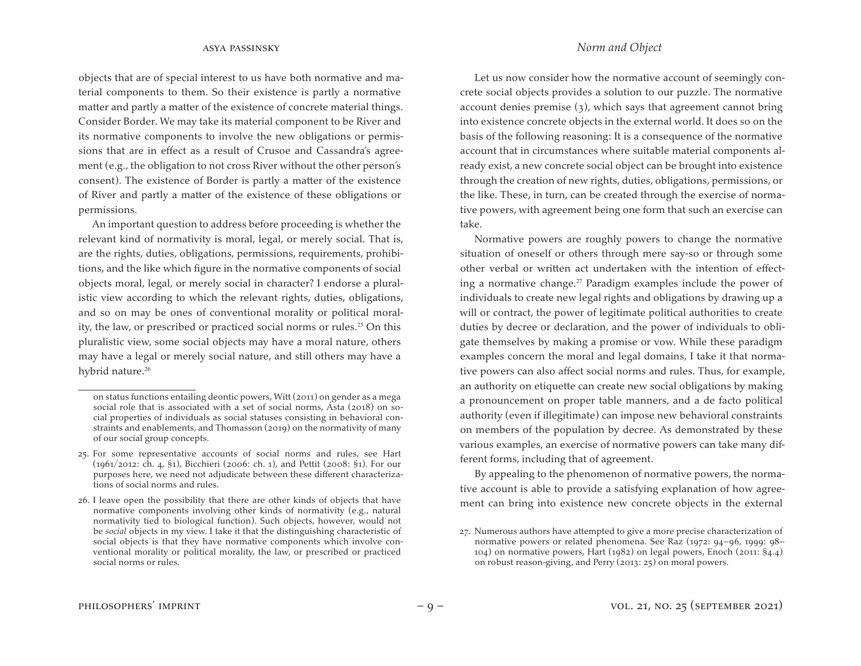objects that are of special interest to us have both normative and material components to them. So their existence is partly a normative matter and partly a matter of the existence of concrete material things. Consider Border. We may take its material component to be River and its normative components to involve the new obligations or permissions that are in effect as a result of Crusoe and Cassandra's agreement (e.g., the obligation to not cross River without the other person's consent). The existence of Border is partly a matter of the existence of River and partly a matter of the existence of these obligations or permissions.

An important question to address before proceeding is whether the relevant kind of normativity is moral, legal, or merely social. That is, are the rights, duties, obligations, permissions, requirements, prohibitions, and the like which figure in the normative components of social objects moral, legal, or merely social in character? I endorse a pluralistic view according to which the relevant rights, duties, obligations, and so on may be ones of conventional morality or political morality, the law, or prescribed or practiced social norms or rules.<sup>25</sup> On this pluralistic view, some social objects may have a moral nature, others may have a legal or merely social nature, and still others may have a hybrid nature.<sup>26</sup>

Let us now consider how the normative account of seemingly concrete social objects provides a solution to our puzzle. The normative account denies premise (3), which says that agreement cannot bring into existence concrete objects in the external world. It does so on the basis of the following reasoning: It is a consequence of the normative account that in circumstances where suitable material components already exist, a new concrete social object can be brought into existence through the creation of new rights, duties, obligations, permissions, or the like. These, in turn, can be created through the exercise of normative powers, with agreement being one form that such an exercise can take.

Normative powers are roughly powers to change the normative situation of oneself or others through mere say-so or through some other verbal or written act undertaken with the intention of effecting a normative change.<sup>27</sup> Paradigm examples include the power of individuals to create new legal rights and obligations by drawing up a will or contract, the power of legitimate political authorities to create duties by decree or declaration, and the power of individuals to obligate themselves by making a promise or vow. While these paradigm examples concern the moral and legal domains, I take it that normative powers can also affect social norms and rules. Thus, for example, an authority on etiquette can create new social obligations by making a pronouncement on proper table manners, and a de facto political authority (even if illegitimate) can impose new behavioral constraints on members of the population by decree. As demonstrated by these various examples, an exercise of normative powers can take many different forms, including that of agreement.

By appealing to the phenomenon of normative powers, the normative account is able to provide a satisfying explanation of how agreement can bring into existence new concrete objects in the external

on status functions entailing deontic powers, Witt (2011) on gender as a mega social role that is associated with a set of social norms, Ásta (2018) on social properties of individuals as social statuses consisting in behavioral constraints and enablements, and Thomasson (2019) on the normativity of many of our social group concepts.

<sup>25.</sup> For some representative accounts of social norms and rules, see Hart (1961/2012: ch. 4, §1), Bicchieri (2006: ch. 1), and Pettit (2008: §1). For our purposes here, we need not adjudicate between these different characterizations of social norms and rules.

<sup>26.</sup> I leave open the possibility that there are other kinds of objects that have normative components involving other kinds of normativity (e.g., natural normativity tied to biological function). Such objects, however, would not be *social* objects in my view. I take it that the distinguishing characteristic of social objects is that they have normative components which involve conventional morality or political morality, the law, or prescribed or practiced social norms or rules.

<sup>27.</sup> Numerous authors have attempted to give a more precise characterization of normative powers or related phenomena. See Raz (1972: 94–96, 1999: 98– 104) on normative powers, Hart (1982) on legal powers, Enoch (2011: §4.4) on robust reason-giving, and Perry (2013: 25) on moral powers.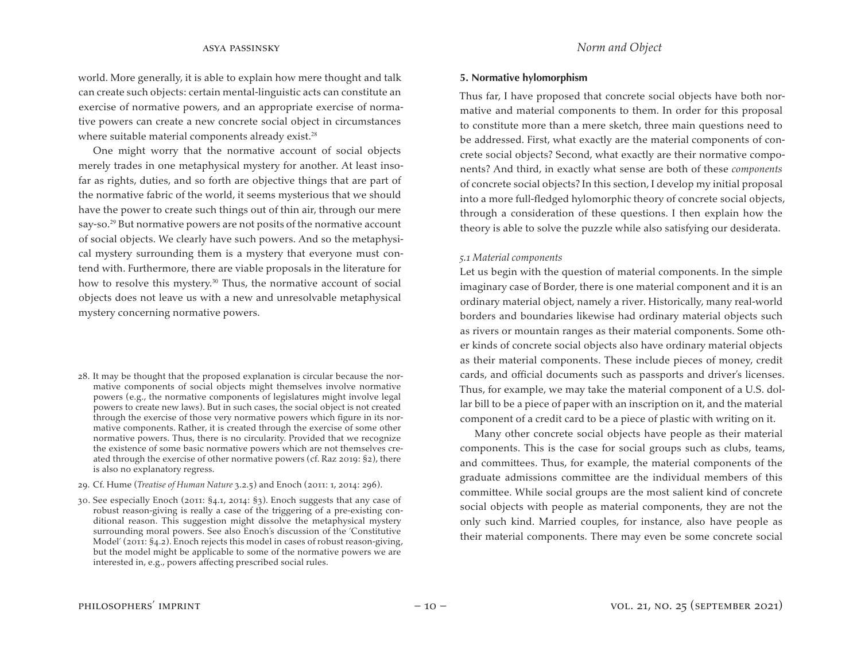world. More generally, it is able to explain how mere thought and talk can create such objects: certain mental-linguistic acts can constitute an exercise of normative powers, and an appropriate exercise of normative powers can create a new concrete social object in circumstances where suitable material components already exist.<sup>28</sup>

One might worry that the normative account of social objects merely trades in one metaphysical mystery for another. At least insofar as rights, duties, and so forth are objective things that are part of the normative fabric of the world, it seems mysterious that we should have the power to create such things out of thin air, through our mere say-so.<sup>29</sup> But normative powers are not posits of the normative account of social objects. We clearly have such powers. And so the metaphysical mystery surrounding them is a mystery that everyone must contend with. Furthermore, there are viable proposals in the literature for how to resolve this mystery.<sup>30</sup> Thus, the normative account of social objects does not leave us with a new and unresolvable metaphysical mystery concerning normative powers.

- 28. It may be thought that the proposed explanation is circular because the normative components of social objects might themselves involve normative powers (e.g., the normative components of legislatures might involve legal powers to create new laws). But in such cases, the social object is not created through the exercise of those very normative powers which figure in its normative components. Rather, it is created through the exercise of some other normative powers. Thus, there is no circularity. Provided that we recognize the existence of some basic normative powers which are not themselves created through the exercise of other normative powers (cf. Raz 2019: §2), there is also no explanatory regress.
- 29. Cf. Hume (*Treatise of Human Nature* 3.2.5) and Enoch (2011: 1, 2014: 296).

30. See especially Enoch (2011: §4.1, 2014: §3). Enoch suggests that any case of robust reason-giving is really a case of the triggering of a pre-existing conditional reason. This suggestion might dissolve the metaphysical mystery surrounding moral powers. See also Enoch's discussion of the 'Constitutive Model' (2011: §4.2). Enoch rejects this model in cases of robust reason-giving, but the model might be applicable to some of the normative powers we are interested in, e.g., powers affecting prescribed social rules.

#### **5. Normative hylomorphism**

Thus far, I have proposed that concrete social objects have both normative and material components to them. In order for this proposal to constitute more than a mere sketch, three main questions need to be addressed. First, what exactly are the material components of concrete social objects? Second, what exactly are their normative components? And third, in exactly what sense are both of these *components*  of concrete social objects? In this section, I develop my initial proposal into a more full-fledged hylomorphic theory of concrete social objects, through a consideration of these questions. I then explain how the theory is able to solve the puzzle while also satisfying our desiderata.

#### *5.1 Material components*

Let us begin with the question of material components. In the simple imaginary case of Border, there is one material component and it is an ordinary material object, namely a river. Historically, many real-world borders and boundaries likewise had ordinary material objects such as rivers or mountain ranges as their material components. Some other kinds of concrete social objects also have ordinary material objects as their material components. These include pieces of money, credit cards, and official documents such as passports and driver's licenses. Thus, for example, we may take the material component of a U.S. dollar bill to be a piece of paper with an inscription on it, and the material component of a credit card to be a piece of plastic with writing on it.

Many other concrete social objects have people as their material components. This is the case for social groups such as clubs, teams, and committees. Thus, for example, the material components of the graduate admissions committee are the individual members of this committee. While social groups are the most salient kind of concrete social objects with people as material components, they are not the only such kind. Married couples, for instance, also have people as their material components. There may even be some concrete social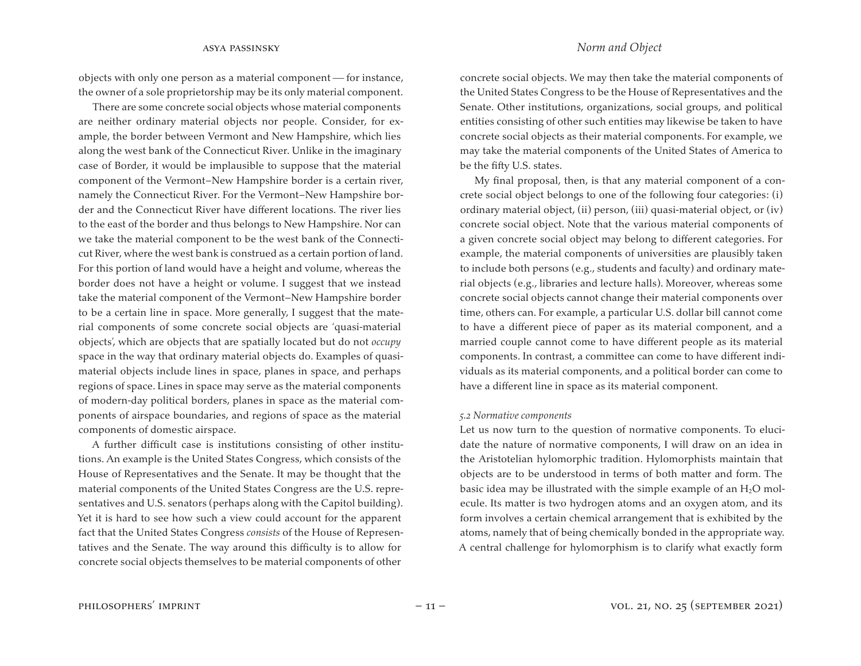objects with only one person as a material component - for instance, the owner of a sole proprietorship may be its only material component.

There are some concrete social objects whose material components are neither ordinary material objects nor people. Consider, for example, the border between Vermont and New Hampshire, which lies along the west bank of the Connecticut River. Unlike in the imaginary case of Border, it would be implausible to suppose that the material component of the Vermont–New Hampshire border is a certain river, namely the Connecticut River. For the Vermont–New Hampshire border and the Connecticut River have different locations. The river lies to the east of the border and thus belongs to New Hampshire. Nor can we take the material component to be the west bank of the Connecticut River, where the west bank is construed as a certain portion of land. For this portion of land would have a height and volume, whereas the border does not have a height or volume. I suggest that we instead take the material component of the Vermont–New Hampshire border to be a certain line in space. More generally, I suggest that the material components of some concrete social objects are 'quasi-material objects', which are objects that are spatially located but do not *occupy*  space in the way that ordinary material objects do. Examples of quasimaterial objects include lines in space, planes in space, and perhaps regions of space. Lines in space may serve as the material components of modern-day political borders, planes in space as the material components of airspace boundaries, and regions of space as the material components of domestic airspace.

A further difficult case is institutions consisting of other institutions. An example is the United States Congress, which consists of the House of Representatives and the Senate. It may be thought that the material components of the United States Congress are the U.S. representatives and U.S. senators (perhaps along with the Capitol building). Yet it is hard to see how such a view could account for the apparent fact that the United States Congress *consists* of the House of Representatives and the Senate. The way around this difficulty is to allow for concrete social objects themselves to be material components of other

concrete social objects. We may then take the material components of the United States Congress to be the House of Representatives and the Senate. Other institutions, organizations, social groups, and political entities consisting of other such entities may likewise be taken to have concrete social objects as their material components. For example, we may take the material components of the United States of America to be the fifty U.S. states.

My final proposal, then, is that any material component of a concrete social object belongs to one of the following four categories: (i) ordinary material object, (ii) person, (iii) quasi-material object, or (iv) concrete social object. Note that the various material components of a given concrete social object may belong to different categories. For example, the material components of universities are plausibly taken to include both persons (e.g., students and faculty) and ordinary material objects (e.g., libraries and lecture halls). Moreover, whereas some concrete social objects cannot change their material components over time, others can. For example, a particular U.S. dollar bill cannot come to have a different piece of paper as its material component, and a married couple cannot come to have different people as its material components. In contrast, a committee can come to have different individuals as its material components, and a political border can come to have a different line in space as its material component.

#### *5.2 Normative components*

Let us now turn to the question of normative components. To elucidate the nature of normative components, I will draw on an idea in the Aristotelian hylomorphic tradition. Hylomorphists maintain that objects are to be understood in terms of both matter and form. The basic idea may be illustrated with the simple example of an  $H_2O$  molecule. Its matter is two hydrogen atoms and an oxygen atom, and its form involves a certain chemical arrangement that is exhibited by the atoms, namely that of being chemically bonded in the appropriate way. A central challenge for hylomorphism is to clarify what exactly form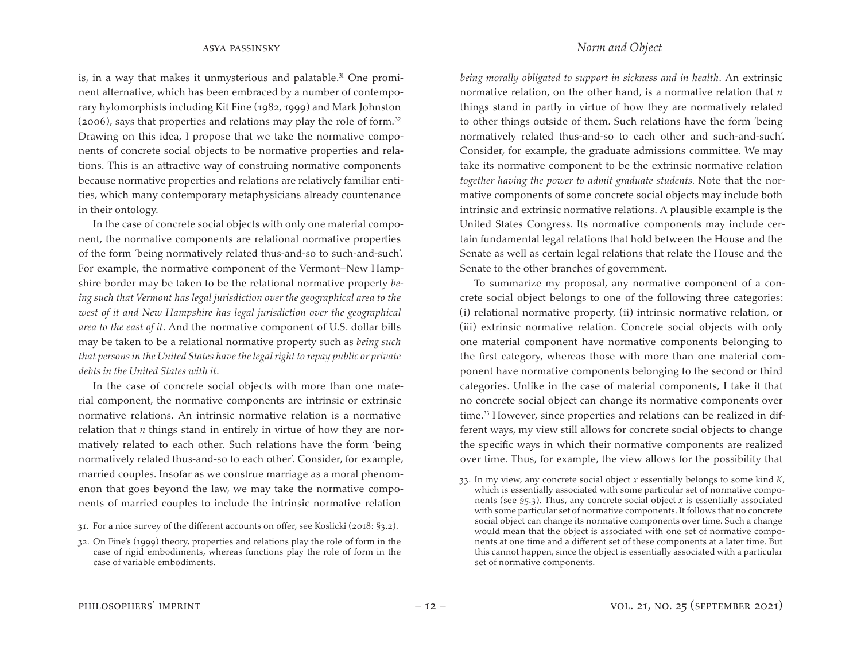is, in a way that makes it unmysterious and palatable. $31$  One prominent alternative, which has been embraced by a number of contemporary hylomorphists including Kit Fine (1982, 1999) and Mark Johnston  $(2006)$ , says that properties and relations may play the role of form.<sup>32</sup> Drawing on this idea, I propose that we take the normative components of concrete social objects to be normative properties and relations. This is an attractive way of construing normative components because normative properties and relations are relatively familiar entities, which many contemporary metaphysicians already countenance in their ontology.

In the case of concrete social objects with only one material component, the normative components are relational normative properties of the form 'being normatively related thus-and-so to such-and-such'. For example, the normative component of the Vermont–New Hampshire border may be taken to be the relational normative property *being such that Vermont has legal jurisdiction over the geographical area to the west of it and New Hampshire has legal jurisdiction over the geographical area to the east of it*. And the normative component of U.S. dollar bills may be taken to be a relational normative property such as *being such that persons in the United States have the legal right to repay public or private debts in the United States with it*.

In the case of concrete social objects with more than one material component, the normative components are intrinsic or extrinsic normative relations. An intrinsic normative relation is a normative relation that *n* things stand in entirely in virtue of how they are normatively related to each other. Such relations have the form 'being normatively related thus-and-so to each other'. Consider, for example, married couples. Insofar as we construe marriage as a moral phenomenon that goes beyond the law, we may take the normative components of married couples to include the intrinsic normative relation

## asya passinsky *Norm and Object*

*being morally obligated to support in sickness and in health*. An extrinsic normative relation, on the other hand, is a normative relation that *n*  things stand in partly in virtue of how they are normatively related to other things outside of them. Such relations have the form 'being normatively related thus-and-so to each other and such-and-such'. Consider, for example, the graduate admissions committee. We may take its normative component to be the extrinsic normative relation *together having the power to admit graduate students.* Note that the normative components of some concrete social objects may include both intrinsic and extrinsic normative relations. A plausible example is the United States Congress. Its normative components may include certain fundamental legal relations that hold between the House and the Senate as well as certain legal relations that relate the House and the Senate to the other branches of government.

To summarize my proposal, any normative component of a concrete social object belongs to one of the following three categories: (i) relational normative property, (ii) intrinsic normative relation, or (iii) extrinsic normative relation. Concrete social objects with only one material component have normative components belonging to the first category, whereas those with more than one material component have normative components belonging to the second or third categories. Unlike in the case of material components, I take it that no concrete social object can change its normative components over time.<sup>33</sup> However, since properties and relations can be realized in different ways, my view still allows for concrete social objects to change the specific ways in which their normative components are realized over time. Thus, for example, the view allows for the possibility that

<sup>31.</sup> For a nice survey of the different accounts on offer, see Koslicki (2018: §3.2).

<sup>32.</sup> On Fine's (1999) theory, properties and relations play the role of form in the case of rigid embodiments, whereas functions play the role of form in the case of variable embodiments.

<sup>33.</sup> In my view, any concrete social object *x* essentially belongs to some kind *K*, which is essentially associated with some particular set of normative components (see §5.3). Thus, any concrete social object *x* is essentially associated with some particular set of normative components. It follows that no concrete social object can change its normative components over time. Such a change would mean that the object is associated with one set of normative components at one time and a different set of these components at a later time. But this cannot happen, since the object is essentially associated with a particular set of normative components.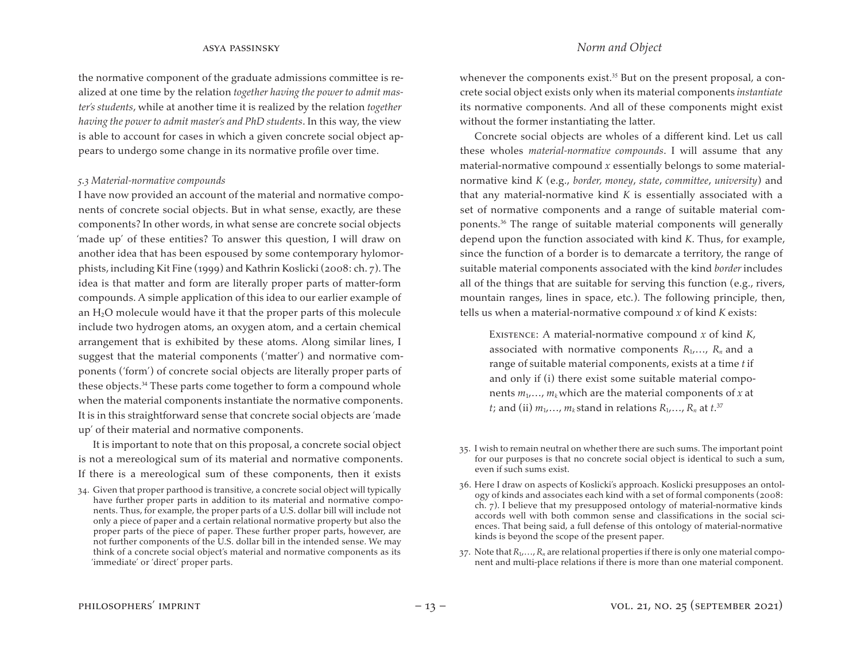the normative component of the graduate admissions committee is realized at one time by the relation *together having the power to admit master's students*, while at another time it is realized by the relation *together having the power to admit master's and PhD students*. In this way, the view is able to account for cases in which a given concrete social object appears to undergo some change in its normative profile over time.

#### *5.3 Material-normative compounds*

I have now provided an account of the material and normative components of concrete social objects. But in what sense, exactly, are these components? In other words, in what sense are concrete social objects 'made up' of these entities? To answer this question, I will draw on another idea that has been espoused by some contemporary hylomorphists, including Kit Fine (1999) and Kathrin Koslicki (2008: ch. 7). The idea is that matter and form are literally proper parts of matter-form compounds. A simple application of this idea to our earlier example of an  $H_2O$  molecule would have it that the proper parts of this molecule include two hydrogen atoms, an oxygen atom, and a certain chemical arrangement that is exhibited by these atoms. Along similar lines, I suggest that the material components ('matter') and normative components ('form') of concrete social objects are literally proper parts of these objects.<sup>34</sup> These parts come together to form a compound whole when the material components instantiate the normative components. It is in this straightforward sense that concrete social objects are 'made up' of their material and normative components.

It is important to note that on this proposal, a concrete social object is not a mereological sum of its material and normative components. If there is a mereological sum of these components, then it exists

34. Given that proper parthood is transitive, a concrete social object will typically have further proper parts in addition to its material and normative components. Thus, for example, the proper parts of a U.S. dollar bill will include not only a piece of paper and a certain relational normative property but also the proper parts of the piece of paper. These further proper parts, however, are not further components of the U.S. dollar bill in the intended sense. We may think of a concrete social object's material and normative components as its 'immediate' or 'direct' proper parts.

whenever the components exist.<sup>35</sup> But on the present proposal, a concrete social object exists only when its material components *instantiate* its normative components. And all of these components might exist without the former instantiating the latter.

Concrete social objects are wholes of a different kind. Let us call these wholes *material-normative compounds*. I will assume that any material-normative compound *x* essentially belongs to some materialnormative kind *K* (e.g., *border, money*, *state*, *committee*, *university*) and that any material-normative kind *K* is essentially associated with a set of normative components and a range of suitable material components.<sup>36</sup> The range of suitable material components will generally depend upon the function associated with kind *K*. Thus, for example, since the function of a border is to demarcate a territory, the range of suitable material components associated with the kind *border* includes all of the things that are suitable for serving this function (e.g., rivers, mountain ranges, lines in space, etc.). The following principle, then, tells us when a material-normative compound *x* of kind *K* exists:

Existence: A material-normative compound *x* of kind *K*, associated with normative components  $R_1, \ldots, R_n$  and a range of suitable material components, exists at a time *t* if and only if (i) there exist some suitable material components  $m_1, \ldots, m_k$  which are the material components of *x* at *t*; and (ii)  $m_1,...,m_k$  stand in relations  $R_1,...,R_n$  at  $t.^{37}$ 

- 35. I wish to remain neutral on whether there are such sums. The important point for our purposes is that no concrete social object is identical to such a sum, even if such sums exist.
- 36. Here I draw on aspects of Koslicki's approach. Koslicki presupposes an ontology of kinds and associates each kind with a set of formal components (2008: ch. 7). I believe that my presupposed ontology of material-normative kinds accords well with both common sense and classifications in the social sciences. That being said, a full defense of this ontology of material-normative kinds is beyond the scope of the present paper.
- 37. Note that  $R_1, \ldots, R_n$  are relational properties if there is only one material component and multi-place relations if there is more than one material component.

# asya passinsky *Norm and Object*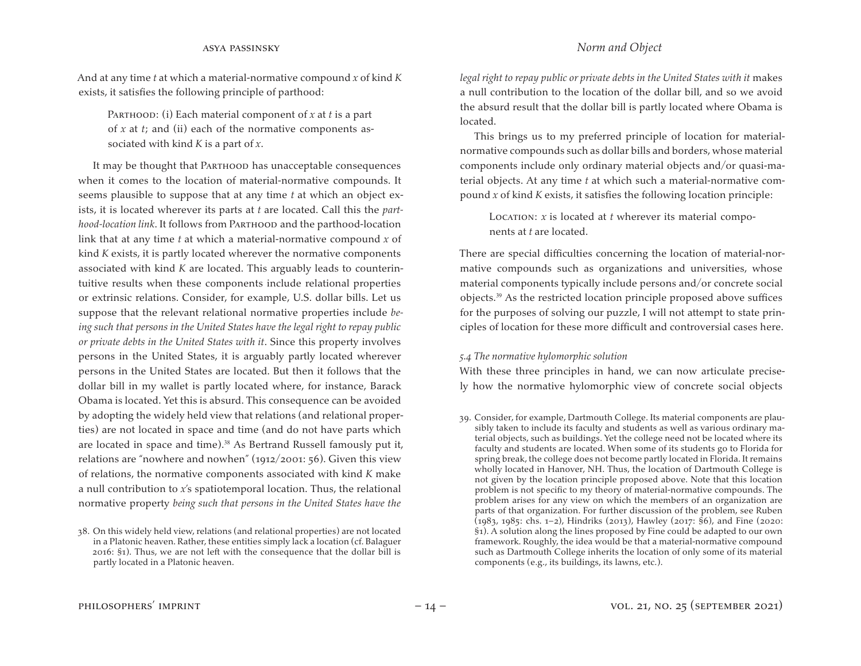And at any time *t* at which a material-normative compound *x* of kind *K*  exists, it satisfies the following principle of parthood:

PARTHOOD: (i) Each material component of *x* at *t* is a part of *x* at *t*; and (ii) each of the normative components associated with kind *K* is a part of *x*.

It may be thought that PARTHOOD has unacceptable consequences when it comes to the location of material-normative compounds. It seems plausible to suppose that at any time *t* at which an object exists, it is located wherever its parts at *t* are located. Call this the *parthood-location link*. It follows from Parthood and the parthood-location link that at any time *t* at which a material-normative compound *x* of kind *K* exists, it is partly located wherever the normative components associated with kind *K* are located. This arguably leads to counterintuitive results when these components include relational properties or extrinsic relations. Consider, for example, U.S. dollar bills. Let us suppose that the relevant relational normative properties include *being such that persons in the United States have the legal right to repay public or private debts in the United States with it*. Since this property involves persons in the United States, it is arguably partly located wherever persons in the United States are located. But then it follows that the dollar bill in my wallet is partly located where, for instance, Barack Obama is located. Yet this is absurd. This consequence can be avoided by adopting the widely held view that relations (and relational properties) are not located in space and time (and do not have parts which are located in space and time).<sup>38</sup> As Bertrand Russell famously put it, relations are "nowhere and nowhen" (1912/2001: 56). Given this view of relations, the normative components associated with kind *K* make a null contribution to *x*'s spatiotemporal location. Thus, the relational normative property *being such that persons in the United States have the* 

*legal right to repay public or private debts in the United States with it* makes a null contribution to the location of the dollar bill, and so we avoid the absurd result that the dollar bill is partly located where Obama is located.

This brings us to my preferred principle of location for materialnormative compounds such as dollar bills and borders, whose material components include only ordinary material objects and/or quasi-material objects. At any time *t* at which such a material-normative compound *x* of kind *K* exists, it satisfies the following location principle:

Location: *x* is located at *t* wherever its material components at *t* are located.

There are special difficulties concerning the location of material-normative compounds such as organizations and universities, whose material components typically include persons and/or concrete social objects.<sup>39</sup> As the restricted location principle proposed above suffices for the purposes of solving our puzzle, I will not attempt to state principles of location for these more difficult and controversial cases here.

## *5.4 The normative hylomorphic solution*

With these three principles in hand, we can now articulate precisely how the normative hylomorphic view of concrete social objects

<sup>38.</sup> On this widely held view, relations (and relational properties) are not located in a Platonic heaven. Rather, these entities simply lack a location (cf. Balaguer 2016: §1). Thus, we are not left with the consequence that the dollar bill is partly located in a Platonic heaven.

<sup>39.</sup> Consider, for example, Dartmouth College. Its material components are plausibly taken to include its faculty and students as well as various ordinary material objects, such as buildings. Yet the college need not be located where its faculty and students are located. When some of its students go to Florida for spring break, the college does not become partly located in Florida. It remains wholly located in Hanover, NH. Thus, the location of Dartmouth College is not given by the location principle proposed above. Note that this location problem is not specific to my theory of material-normative compounds. The problem arises for any view on which the members of an organization are parts of that organization. For further discussion of the problem, see Ruben (1983, 1985: chs. 1–2), Hindriks (2013), Hawley (2017: §6), and Fine (2020: §1). A solution along the lines proposed by Fine could be adapted to our own framework. Roughly, the idea would be that a material-normative compound such as Dartmouth College inherits the location of only some of its material components (e.g., its buildings, its lawns, etc.).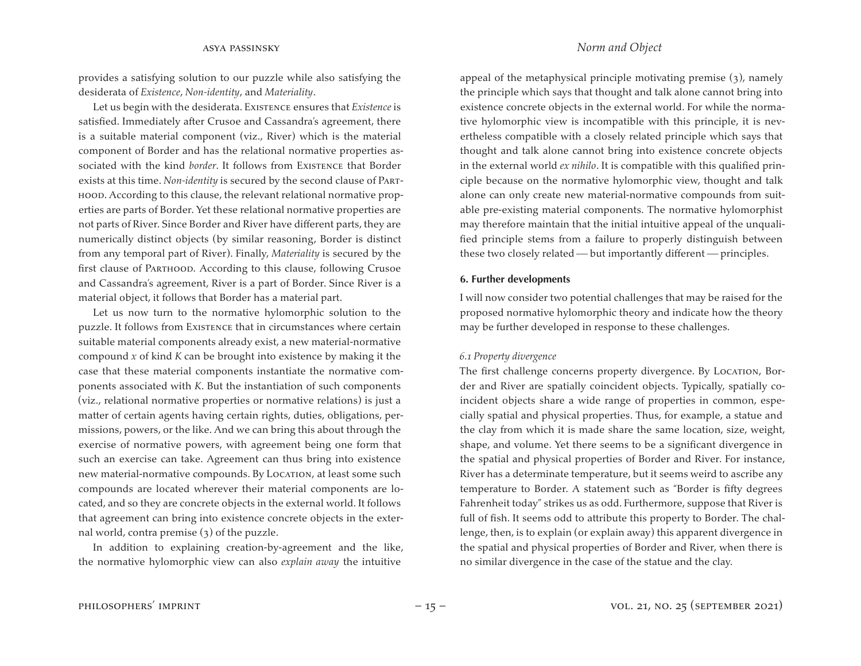provides a satisfying solution to our puzzle while also satisfying the desiderata of *Existence*, *Non-identity*, and *Materiality*.

Let us begin with the desiderata. Existence ensures that *Existence* is satisfied. Immediately after Crusoe and Cassandra's agreement, there is a suitable material component (viz., River) which is the material component of Border and has the relational normative properties associated with the kind *border*. It follows from Existence that Border exists at this time. *Non-identity* is secured by the second clause of Parthood. According to this clause, the relevant relational normative properties are parts of Border. Yet these relational normative properties are not parts of River. Since Border and River have different parts, they are numerically distinct objects (by similar reasoning, Border is distinct from any temporal part of River). Finally, *Materiality* is secured by the first clause of Parthood. According to this clause, following Crusoe and Cassandra's agreement, River is a part of Border. Since River is a material object, it follows that Border has a material part.

Let us now turn to the normative hylomorphic solution to the puzzle. It follows from Existence that in circumstances where certain suitable material components already exist, a new material-normative compound *x* of kind *K* can be brought into existence by making it the case that these material components instantiate the normative components associated with *K*. But the instantiation of such components (viz., relational normative properties or normative relations) is just a matter of certain agents having certain rights, duties, obligations, permissions, powers, or the like. And we can bring this about through the exercise of normative powers, with agreement being one form that such an exercise can take. Agreement can thus bring into existence new material-normative compounds. By LOCATION, at least some such compounds are located wherever their material components are located, and so they are concrete objects in the external world. It follows that agreement can bring into existence concrete objects in the external world, contra premise (3) of the puzzle.

In addition to explaining creation-by-agreement and the like, the normative hylomorphic view can also *explain away* the intuitive

# asya passinsky *Norm and Object*

appeal of the metaphysical principle motivating premise (3), namely the principle which says that thought and talk alone cannot bring into existence concrete objects in the external world. For while the normative hylomorphic view is incompatible with this principle, it is nevertheless compatible with a closely related principle which says that thought and talk alone cannot bring into existence concrete objects in the external world *ex nihilo*. It is compatible with this qualified principle because on the normative hylomorphic view, thought and talk alone can only create new material-normative compounds from suitable pre-existing material components. The normative hylomorphist may therefore maintain that the initial intuitive appeal of the unqualified principle stems from a failure to properly distinguish between these two closely related  $-$  but importantly different  $-$  principles.

#### **6. Further developments**

I will now consider two potential challenges that may be raised for the proposed normative hylomorphic theory and indicate how the theory may be further developed in response to these challenges.

#### *6.1 Property divergence*

The first challenge concerns property divergence. By LOCATION, Border and River are spatially coincident objects. Typically, spatially coincident objects share a wide range of properties in common, especially spatial and physical properties. Thus, for example, a statue and the clay from which it is made share the same location, size, weight, shape, and volume. Yet there seems to be a significant divergence in the spatial and physical properties of Border and River. For instance, River has a determinate temperature, but it seems weird to ascribe any temperature to Border. A statement such as "Border is fifty degrees Fahrenheit today" strikes us as odd. Furthermore, suppose that River is full of fish. It seems odd to attribute this property to Border. The challenge, then, is to explain (or explain away) this apparent divergence in the spatial and physical properties of Border and River, when there is no similar divergence in the case of the statue and the clay.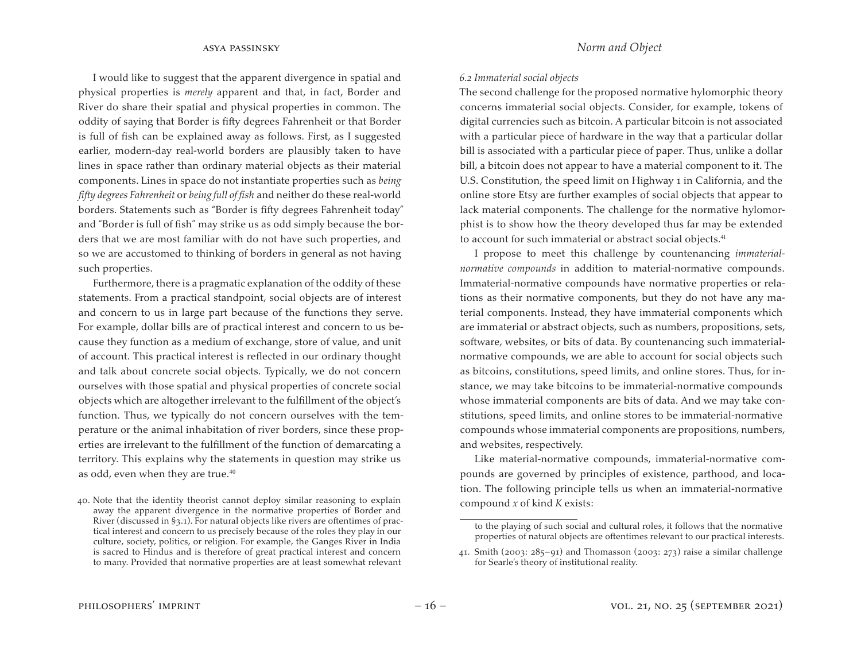I would like to suggest that the apparent divergence in spatial and physical properties is *merely* apparent and that, in fact, Border and River do share their spatial and physical properties in common. The oddity of saying that Border is fifty degrees Fahrenheit or that Border is full of fish can be explained away as follows. First, as I suggested earlier, modern-day real-world borders are plausibly taken to have lines in space rather than ordinary material objects as their material components. Lines in space do not instantiate properties such as *being fifty degrees Fahrenheit* or *being full of fish* and neither do these real-world borders. Statements such as "Border is fifty degrees Fahrenheit today" and "Border is full of fish" may strike us as odd simply because the borders that we are most familiar with do not have such properties, and so we are accustomed to thinking of borders in general as not having such properties.

Furthermore, there is a pragmatic explanation of the oddity of these statements. From a practical standpoint, social objects are of interest and concern to us in large part because of the functions they serve. For example, dollar bills are of practical interest and concern to us because they function as a medium of exchange, store of value, and unit of account. This practical interest is reflected in our ordinary thought and talk about concrete social objects. Typically, we do not concern ourselves with those spatial and physical properties of concrete social objects which are altogether irrelevant to the fulfillment of the object's function. Thus, we typically do not concern ourselves with the temperature or the animal inhabitation of river borders, since these properties are irrelevant to the fulfillment of the function of demarcating a territory. This explains why the statements in question may strike us as odd, even when they are true.<sup>40</sup>

### *6.2 Immaterial social objects*

The second challenge for the proposed normative hylomorphic theory concerns immaterial social objects. Consider, for example, tokens of digital currencies such as bitcoin. A particular bitcoin is not associated with a particular piece of hardware in the way that a particular dollar bill is associated with a particular piece of paper. Thus, unlike a dollar bill, a bitcoin does not appear to have a material component to it. The U.S. Constitution, the speed limit on Highway 1 in California, and the online store Etsy are further examples of social objects that appear to lack material components. The challenge for the normative hylomorphist is to show how the theory developed thus far may be extended to account for such immaterial or abstract social objects.<sup>41</sup>

I propose to meet this challenge by countenancing *immaterialnormative compounds* in addition to material-normative compounds. Immaterial-normative compounds have normative properties or relations as their normative components, but they do not have any material components. Instead, they have immaterial components which are immaterial or abstract objects, such as numbers, propositions, sets, software, websites, or bits of data. By countenancing such immaterialnormative compounds, we are able to account for social objects such as bitcoins, constitutions, speed limits, and online stores. Thus, for instance, we may take bitcoins to be immaterial-normative compounds whose immaterial components are bits of data. And we may take constitutions, speed limits, and online stores to be immaterial-normative compounds whose immaterial components are propositions, numbers, and websites, respectively.

Like material-normative compounds, immaterial-normative compounds are governed by principles of existence, parthood, and location. The following principle tells us when an immaterial-normative compound *x* of kind *K* exists:

<sup>40.</sup> Note that the identity theorist cannot deploy similar reasoning to explain away the apparent divergence in the normative properties of Border and River (discussed in §3.1). For natural objects like rivers are oftentimes of practical interest and concern to us precisely because of the roles they play in our culture, society, politics, or religion. For example, the Ganges River in India is sacred to Hindus and is therefore of great practical interest and concern to many. Provided that normative properties are at least somewhat relevant

to the playing of such social and cultural roles, it follows that the normative properties of natural objects are oftentimes relevant to our practical interests.

<sup>41.</sup> Smith (2003:  $285-91$ ) and Thomasson (2003: 273) raise a similar challenge for Searle's theory of institutional reality.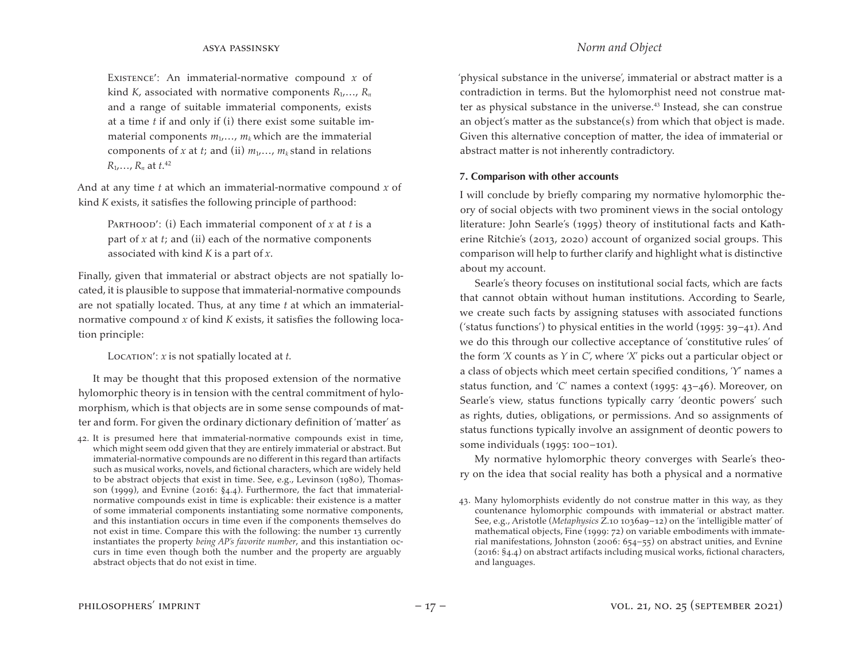Existence′: An immaterial-normative compound *x* of kind *K*, associated with normative components  $R_1, \ldots, R_n$ and a range of suitable immaterial components, exists at a time *t* if and only if (i) there exist some suitable immaterial components  $m_1, \ldots, m_k$  which are the immaterial components of *x* at *t*; and (ii)  $m_1, \ldots, m_k$  stand in relations *R*1,…, *Rn* at *t*. 42

And at any time *t* at which an immaterial-normative compound *x* of kind *K* exists, it satisfies the following principle of parthood:

PARTHOOD': (i) Each immaterial component of *x* at *t* is a part of *x* at *t*; and (ii) each of the normative components associated with kind *K* is a part of *x*.

Finally, given that immaterial or abstract objects are not spatially located, it is plausible to suppose that immaterial-normative compounds are not spatially located. Thus, at any time *t* at which an immaterialnormative compound *x* of kind *K* exists, it satisfies the following location principle:

Location': *x* is not spatially located at *t*.

It may be thought that this proposed extension of the normative hylomorphic theory is in tension with the central commitment of hylomorphism, which is that objects are in some sense compounds of matter and form. For given the ordinary dictionary definition of 'matter' as

42. It is presumed here that immaterial-normative compounds exist in time, which might seem odd given that they are entirely immaterial or abstract. But immaterial-normative compounds are no different in this regard than artifacts such as musical works, novels, and fictional characters, which are widely held to be abstract objects that exist in time. See, e.g., Levinson (1980), Thomasson (1999), and Evnine (2016: §4.4). Furthermore, the fact that immaterialnormative compounds exist in time is explicable: their existence is a matter of some immaterial components instantiating some normative components, and this instantiation occurs in time even if the components themselves do not exist in time. Compare this with the following: the number 13 currently instantiates the property *being AP's favorite number*, and this instantiation occurs in time even though both the number and the property are arguably abstract objects that do not exist in time.

'physical substance in the universe', immaterial or abstract matter is a contradiction in terms. But the hylomorphist need not construe matter as physical substance in the universe.<sup>43</sup> Instead, she can construe an object's matter as the substance(s) from which that object is made. Given this alternative conception of matter, the idea of immaterial or abstract matter is not inherently contradictory.

## **7. Comparison with other accounts**

I will conclude by briefly comparing my normative hylomorphic theory of social objects with two prominent views in the social ontology literature: John Searle's (1995) theory of institutional facts and Katherine Ritchie's (2013, 2020) account of organized social groups. This comparison will help to further clarify and highlight what is distinctive about my account.

Searle's theory focuses on institutional social facts, which are facts that cannot obtain without human institutions. According to Searle, we create such facts by assigning statuses with associated functions ('status functions') to physical entities in the world  $(1995: 39-41)$ . And we do this through our collective acceptance of 'constitutive rules' of the form '*X* counts as *Y* in *C*', where '*X*' picks out a particular object or a class of objects which meet certain specified conditions, '*Y*' names a status function, and '*C*' names a context (1995: 43–46). Moreover, on Searle's view, status functions typically carry 'deontic powers' such as rights, duties, obligations, or permissions. And so assignments of status functions typically involve an assignment of deontic powers to some individuals (1995: 100–101).

My normative hylomorphic theory converges with Searle's theory on the idea that social reality has both a physical and a normative

<sup>43.</sup> Many hylomorphists evidently do not construe matter in this way, as they countenance hylomorphic compounds with immaterial or abstract matter. See, e.g., Aristotle (*Metaphysics* Z.10 1036a9–12) on the 'intelligible matter' of mathematical objects, Fine (1999: 72) on variable embodiments with immaterial manifestations, Johnston (2006: 654–55) on abstract unities, and Evnine (2016: §4.4) on abstract artifacts including musical works, fictional characters, and languages.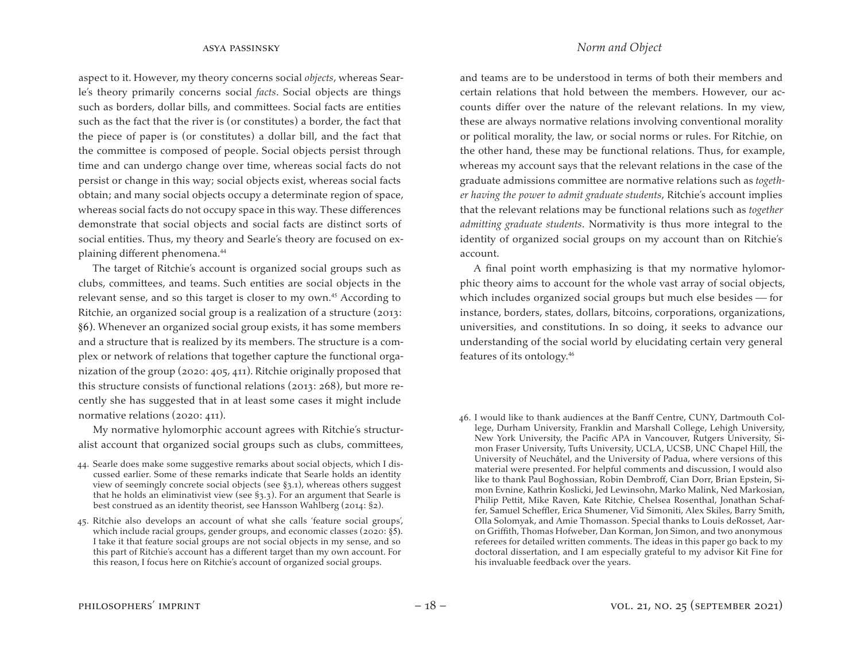aspect to it. However, my theory concerns social *objects*, whereas Searle's theory primarily concerns social *facts*. Social objects are things such as borders, dollar bills, and committees. Social facts are entities such as the fact that the river is (or constitutes) a border, the fact that the piece of paper is (or constitutes) a dollar bill, and the fact that the committee is composed of people. Social objects persist through time and can undergo change over time, whereas social facts do not persist or change in this way; social objects exist, whereas social facts obtain; and many social objects occupy a determinate region of space, whereas social facts do not occupy space in this way. These differences demonstrate that social objects and social facts are distinct sorts of social entities. Thus, my theory and Searle's theory are focused on explaining different phenomena.<sup>44</sup>

The target of Ritchie's account is organized social groups such as clubs, committees, and teams. Such entities are social objects in the relevant sense, and so this target is closer to my own.<sup>45</sup> According to Ritchie, an organized social group is a realization of a structure (2013: §6). Whenever an organized social group exists, it has some members and a structure that is realized by its members. The structure is a complex or network of relations that together capture the functional organization of the group (2020: 405, 411). Ritchie originally proposed that this structure consists of functional relations (2013: 268), but more recently she has suggested that in at least some cases it might include normative relations (2020: 411).

My normative hylomorphic account agrees with Ritchie's structuralist account that organized social groups such as clubs, committees,

- 44. Searle does make some suggestive remarks about social objects, which I discussed earlier. Some of these remarks indicate that Searle holds an identity view of seemingly concrete social objects (see §3.1), whereas others suggest that he holds an eliminativist view (see §3.3). For an argument that Searle is best construed as an identity theorist, see Hansson Wahlberg (2014: §2).
- 45. Ritchie also develops an account of what she calls 'feature social groups', which include racial groups, gender groups, and economic classes (2020: §5). I take it that feature social groups are not social objects in my sense, and so this part of Ritchie's account has a different target than my own account. For this reason, I focus here on Ritchie's account of organized social groups.

and teams are to be understood in terms of both their members and certain relations that hold between the members. However, our accounts differ over the nature of the relevant relations. In my view, these are always normative relations involving conventional morality or political morality, the law, or social norms or rules. For Ritchie, on the other hand, these may be functional relations. Thus, for example, whereas my account says that the relevant relations in the case of the graduate admissions committee are normative relations such as *together having the power to admit graduate students*, Ritchie's account implies that the relevant relations may be functional relations such as *together admitting graduate students*. Normativity is thus more integral to the identity of organized social groups on my account than on Ritchie's account.

A final point worth emphasizing is that my normative hylomorphic theory aims to account for the whole vast array of social objects, which includes organized social groups but much else besides  $-$  for instance, borders, states, dollars, bitcoins, corporations, organizations, universities, and constitutions. In so doing, it seeks to advance our understanding of the social world by elucidating certain very general features of its ontology.<sup>46</sup>

46. I would like to thank audiences at the Banff Centre, CUNY, Dartmouth College, Durham University, Franklin and Marshall College, Lehigh University, New York University, the Pacific APA in Vancouver, Rutgers University, Simon Fraser University, Tufts University, UCLA, UCSB, UNC Chapel Hill, the University of Neuchâtel, and the University of Padua, where versions of this material were presented. For helpful comments and discussion, I would also like to thank Paul Boghossian, Robin Dembroff, Cian Dorr, Brian Epstein, Simon Evnine, Kathrin Koslicki, Jed Lewinsohn, Marko Malink, Ned Markosian, Philip Pettit, Mike Raven, Kate Ritchie, Chelsea Rosenthal, Jonathan Schaffer, Samuel Scheffler, Erica Shumener, Vid Simoniti, Alex Skiles, Barry Smith, Olla Solomyak, and Amie Thomasson. Special thanks to Louis deRosset, Aaron Griffith, Thomas Hofweber, Dan Korman, Jon Simon, and two anonymous referees for detailed written comments. The ideas in this paper go back to my doctoral dissertation, and I am especially grateful to my advisor Kit Fine for his invaluable feedback over the years.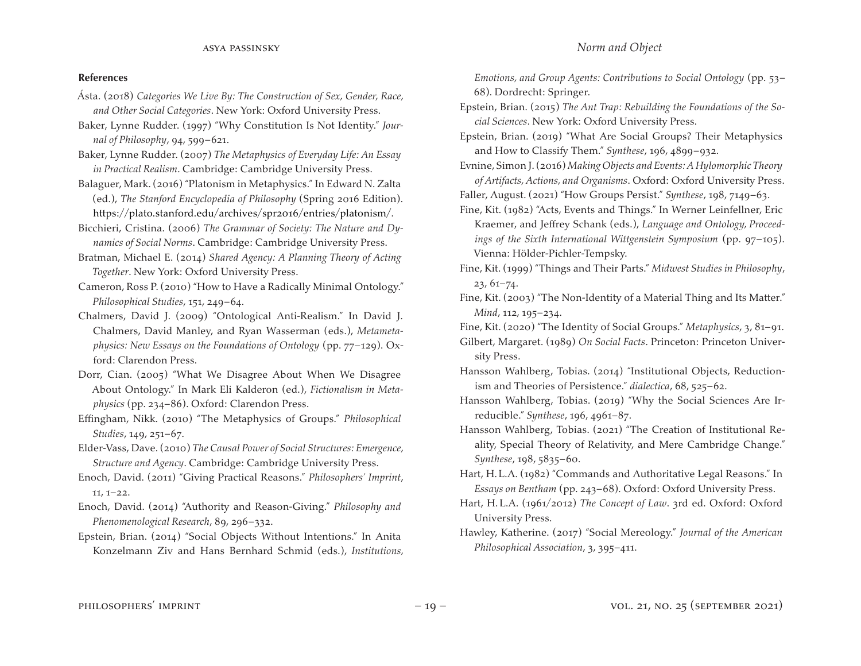## **References**

- Ásta. (2018) *Categories We Live By: The Construction of Sex, Gender, Race, and Other Social Categories*. New York: Oxford University Press.
- Baker, Lynne Rudder. (1997) "Why Constitution Is Not Identity." *Journal of Philosophy*, 94, 599–621.
- Baker, Lynne Rudder. (2007) *The Metaphysics of Everyday Life: An Essay in Practical Realism*. Cambridge: Cambridge University Press.
- Balaguer, Mark.(2016) "Platonism in Metaphysics." In Edward N. Zalta (ed.), *The Stanford Encyclopedia of Philosophy* (Spring 2016 Edition). https://plato.stanford.edu/archives/spr2016/entries/platonism/.
- Bicchieri, Cristina. (2006) *The Grammar of Society: The Nature and Dynamics of Social Norms*. Cambridge: Cambridge University Press.
- Bratman, Michael E. (2014) *Shared Agency: A Planning Theory of Acting Together*. New York: Oxford University Press.
- Cameron, Ross P. (2010) "How to Have a Radically Minimal Ontology." *Philosophical Studies*, 151, 249–64.
- Chalmers, David J. (2009) "Ontological Anti-Realism." In David J. Chalmers, David Manley, and Ryan Wasserman (eds.), *Metametaphysics: New Essays on the Foundations of Ontology* (pp. 77–129). Oxford: Clarendon Press.
- Dorr, Cian. (2005) "What We Disagree About When We Disagree About Ontology." In Mark Eli Kalderon (ed.), *Fictionalism in Metaphysics* (pp. 234–86). Oxford: Clarendon Press.
- Effingham, Nikk. (2010) "The Metaphysics of Groups." *Philosophical Studies*, 149, 251–67.
- Elder-Vass, Dave.(2010) *The Causal Power of Social Structures: Emergence, Structure and Agency*. Cambridge: Cambridge University Press.
- Enoch, David. (2011) "Giving Practical Reasons." *Philosophers' Imprint*, 11, 1–22.
- Enoch, David. (2014) "Authority and Reason-Giving." *Philosophy and Phenomenological Research*, 89, 296–332.
- Epstein, Brian. (2014) "Social Objects Without Intentions." In Anita Konzelmann Ziv and Hans Bernhard Schmid (eds.), *Institutions,*

*Emotions, and Group Agents: Contributions to Social Ontology* (pp. 53– 68). Dordrecht: Springer.

- Epstein, Brian. (2015) *The Ant Trap: Rebuilding the Foundations of the Social Sciences*. New York: Oxford University Press.
- Epstein, Brian. (2019) "What Are Social Groups? Their Metaphysics and How to Classify Them." *Synthese*, 196, 4899–932.
- Evnine, Simon J.(2016) *Making Objects and Events: A Hylomorphic Theory of Artifacts, Actions, and Organisms*. Oxford: Oxford University Press.
- Faller, August. (2021) "How Groups Persist." *Synthese*, 198, 7149–63.
- Fine, Kit. (1982) "Acts, Events and Things." In Werner Leinfellner, Eric Kraemer, and Jeffrey Schank (eds.), *Language and Ontology, Proceedings of the Sixth International Wittgenstein Symposium* (pp. 97–105). Vienna: Hölder-Pichler-Tempsky.
- Fine, Kit. (1999) "Things and Their Parts." *Midwest Studies in Philosophy*, 23, 61–74.
- Fine, Kit. (2003) "The Non-Identity of a Material Thing and Its Matter." *Mind*, 112, 195–234.
- Fine, Kit. (2020) "The Identity of Social Groups." *Metaphysics*, 3, 81–91.
- Gilbert, Margaret. (1989) *On Social Facts*. Princeton: Princeton University Press.
- Hansson Wahlberg, Tobias. (2014) "Institutional Objects, Reductionism and Theories of Persistence." *dialectica*, 68, 525–62.
- Hansson Wahlberg, Tobias. (2019) "Why the Social Sciences Are Irreducible." *Synthese*, 196, 4961–87.
- Hansson Wahlberg, Tobias. (2021) "The Creation of Institutional Reality, Special Theory of Relativity, and Mere Cambridge Change." *Synthese*, 198, 5835–60.
- Hart, H.L.A. (1982) "Commands and Authoritative Legal Reasons." In *Essays on Bentham* (pp. 243–68). Oxford: Oxford University Press.
- Hart, H.L.A. (1961/2012) *The Concept of Law*. 3rd ed. Oxford: Oxford University Press.
- Hawley, Katherine. (2017) "Social Mereology." *Journal of the American Philosophical Association*, 3, 395–411.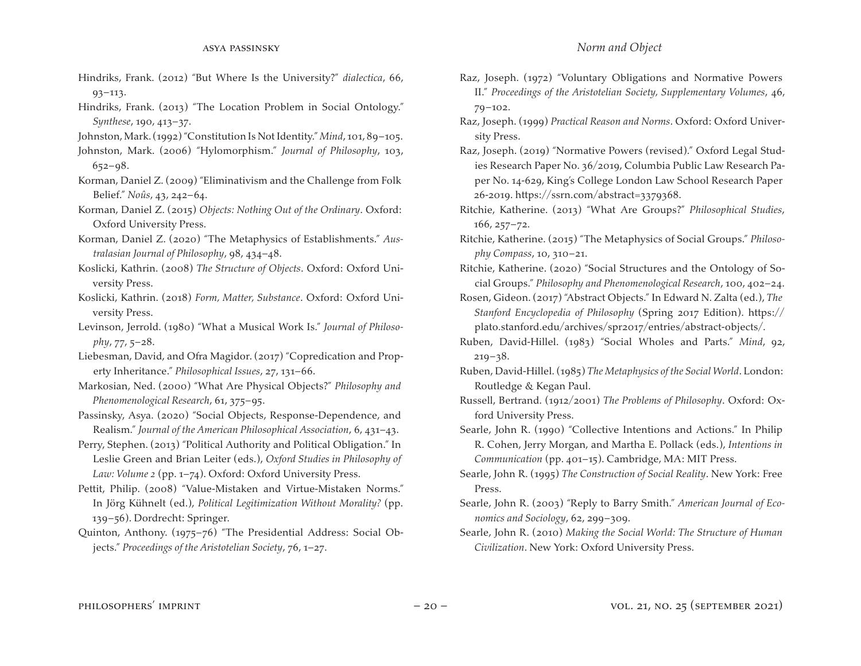- Hindriks, Frank. (2012) "But Where Is the University?" *dialectica*, 66, 93–113.
- Hindriks, Frank. (2013) "The Location Problem in Social Ontology." *Synthese*, 190, 413–37.
- Johnston,Mark.(1992)"Constitution Is Not Identity." *Mind*, 101, 89–105.
- Johnston, Mark. (2006) "Hylomorphism." *Journal of Philosophy*, 103, 652–98.
- Korman, Daniel Z. (2009) "Eliminativism and the Challenge from Folk Belief." *Noûs*, 43, 242–64.
- Korman, Daniel Z. (2015) *Objects: Nothing Out of the Ordinary*. Oxford: Oxford University Press.
- Korman, Daniel Z. (2020) "The Metaphysics of Establishments." *Australasian Journal of Philosophy*, 98, 434–48.
- Koslicki, Kathrin. (2008) *The Structure of Objects*. Oxford: Oxford University Press.
- Koslicki, Kathrin. (2018) *Form, Matter, Substance*. Oxford: Oxford University Press.
- Levinson, Jerrold. (1980) "What a Musical Work Is." *Journal of Philosophy*, 77, 5–28.
- Liebesman, David, and Ofra Magidor. (2017) "Copredication and Property Inheritance." *Philosophical Issues*, 27, 131–66.
- Markosian, Ned. (2000) "What Are Physical Objects?" *Philosophy and Phenomenological Research*, 61, 375–95.
- Passinsky, Asya. (2020) "Social Objects, Response-Dependence, and Realism." *Journal of the American Philosophical Association*, 6, 431–43.
- Perry, Stephen. (2013) "Political Authority and Political Obligation." In Leslie Green and Brian Leiter (eds.), *Oxford Studies in Philosophy of Law: Volume 2* (pp. 1–74). Oxford: Oxford University Press.
- Pettit, Philip. (2008) "Value-Mistaken and Virtue-Mistaken Norms." In Jörg Kühnelt (ed.), *Political Legitimization Without Morality?* (pp. 139–56). Dordrecht: Springer.
- Quinton, Anthony. (1975–76) "The Presidential Address: Social Objects." *Proceedings of the Aristotelian Society*, 76, 1–27.
- Raz, Joseph. (1972) "Voluntary Obligations and Normative Powers II." *Proceedings of the Aristotelian Society, Supplementary Volumes*, 46, 79–102.
- Raz, Joseph. (1999) *Practical Reason and Norms*. Oxford: Oxford University Press.
- Raz, Joseph. (2019) "Normative Powers (revised)." Oxford Legal Studies Research Paper No. 36/2019, Columbia Public Law Research Paper No. 14-629, King's College London Law School Research Paper 26-2019. https://ssrn.com/abstract=3379368.
- Ritchie, Katherine. (2013) "What Are Groups?" *Philosophical Studies*, 166, 257–72.
- Ritchie, Katherine. (2015) "The Metaphysics of Social Groups." *Philosophy Compass*, 10, 310–21.
- Ritchie, Katherine. (2020) "Social Structures and the Ontology of Social Groups." *Philosophy and Phenomenological Research*, 100, 402–24.
- Rosen, Gideon.(2017) "Abstract Objects." In Edward N. Zalta (ed.), *The Stanford Encyclopedia of Philosophy* (Spring 2017 Edition). https:// plato.stanford.edu/archives/spr2017/entries/abstract-objects/.
- Ruben, David-Hillel. (1983) "Social Wholes and Parts." *Mind*, 92,  $219 - 38.$
- Ruben, David-Hillel.(1985) *The Metaphysics of the Social World*. London: Routledge & Kegan Paul.
- Russell, Bertrand. (1912/2001) *The Problems of Philosophy*. Oxford: Oxford University Press.
- Searle, John R. (1990) "Collective Intentions and Actions." In Philip R. Cohen, Jerry Morgan, and Martha E. Pollack (eds.), *Intentions in Communication* (pp. 401–15). Cambridge, MA: MIT Press.
- Searle, John R. (1995) *The Construction of Social Reality*. New York: Free Press.
- Searle, John R. (2003) "Reply to Barry Smith." *American Journal of Economics and Sociology*, 62, 299–309.
- Searle, John R. (2010) *Making the Social World: The Structure of Human Civilization*. New York: Oxford University Press.